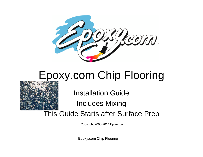

## Epoxy.com Chip Flooring



Installation Guide

Includes Mixing

This Guide Starts after Surface Prep

Copyright 2003-2014 Epoxy.com

Epoxy.com Chip Flooring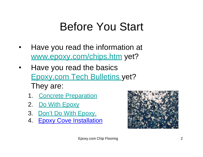## Before You Start

- Have you read the information at [www.epoxy.com/chips.htm](http://www.epoxy.com/chips.htm) yet?
- Have you read the basics Epoxy.com Tech Bulletins yet? They are:
	- 1. Concrete Preparation
	- 2. Do With Epoxy
	- 3. Don't Do With Epoxy.
	- 4. [Epoxy Cove Installation](http://www.epoxy.com/Seamless_Epoxy_Cove_Installation_720.aspx)

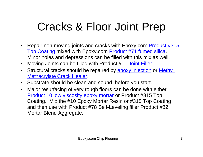## Cracks & Floor Joint Prep

- Repair non-moving joints and cracks with Epoxy.com [Product](http://www.epoxy.com/315.htm) #315 [Top Coating](http://www.epoxy.com/315.htm) mixed with Epoxy.com [Product #71 fumed silica.](http://epoxy.com/71.htm) Minor holes and depressions can be filled with this mix as well.
- Moving Joints can be filled with Product #11 [Joint Filler.](http://www.epoxy.com/11.htm)
- Structural cracks should be repaired by **epoxy [injection](http://www.epoxy.com/injection.aspx)** or **Methyl** [Methacrylate Crack](http://www.epoxy.com/MMA_Crack_Healer_Sealer_Concrete_684.aspx) Healer.
- Substrate should be clean and sound, before you start.
- Major resurfacing of very rough floors can be done with either Product 10 [low viscosity epoxy mortar](http://www.epoxy.com/10.htm) or Product #315 Top Coating. Mix the #10 Epoxy Mortar Resin or #315 Top Coating and then use with Product #78 Self-Leveling filler Product #82 Mortar Blend Aggregate.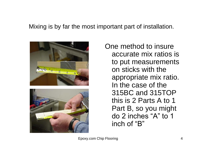#### Mixing is by far the most important part of installation.



One method to insure accurate mix ratios is to put measurements on sticks with the appropriate mix ratio. In the case of the 315BC and 315TOP this is 2 Parts A to 1 Part B, so you might do 2 inches "A" to 1 inch of "B"

Epoxy.com Chip Flooring 4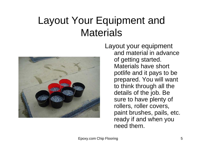#### Layout Your Equipment and **Materials**



Layout your equipment and material in advance of getting started. Materials have short potlife and it pays to be prepared. You will want to think through all the details of the job. Be sure to have plenty of rollers, roller covers, paint brushes, pails, etc. ready if and when you need them.

Epoxy.com Chip Flooring 5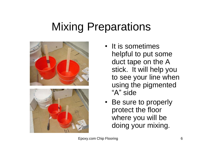## Mixing Preparations



- It is sometimes helpful to put some duct tape on the A stick. It will help you to see your line when using the pigmented "A" side
- Be sure to properly protect the floor where you will be doing your mixing.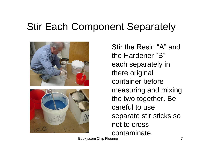#### Stir Each Component Separately



Stir the Resin "A" and the Hardener "B" each separately in there original container before measuring and mixing the two together. Be careful to use separate stir sticks so not to cross contaminate.

Epoxy.com Chip Flooring 7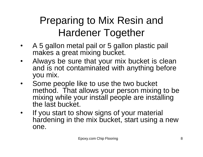#### Preparing to Mix Resin and Hardener Together

- A 5 gallon metal pail or 5 gallon plastic pail makes a great mixing bucket.
- Always be sure that your mix bucket is clean and is not contaminated with anything before you mix.
- Some people like to use the two bucket method. That allows your person mixing to be mixing while your install people are installing the last bucket.
- If you start to show signs of your material hardening in the mix bucket, start using a new one.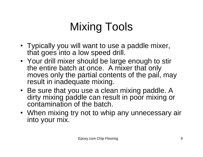# Mixing Tools

- Typically you will want to use a paddle mixer, that goes into a low speed drill.
- Your drill mixer should be large enough to stir the entire batch at once. A mixer that only moves only the partial contents of the pail, may result in inadequate mixing.
- Be sure that you use a clean mixing paddle. A dirty mixing paddle can result in poor mixing or contamination of the batch.
- When mixing try not to whip any unnecessary air into your mix.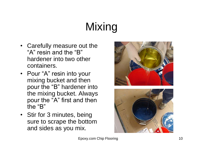# Mixing

- Carefully measure out the "A" resin and the "B" hardener into two other containers.
- Pour "A" resin into your mixing bucket and then pour the "B" hardener into the mixing bucket. Always pour the "A" first and then the "B"
- Stir for 3 minutes, being sure to scrape the bottom and sides as you mix.





Epoxy.com Chip Floorin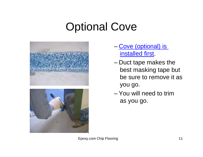## Optional Cove



- [Cove \(optional\) is](http://news.epoxy.com/2014/06/25/seamless-epoxy-cove-installation-instructions/)  installed first
- Duct tape makes the best masking tape but be sure to remove it as you go.
- You will need to trim as you go.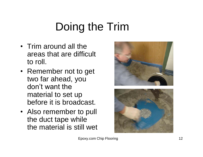# Doing the Trim

- Trim around all the areas that are difficult to roll.
- Remember not to get two far ahead, you don't want the material to set up before it is broadcast.
- Also remember to pull the duct tape while the material is still wet



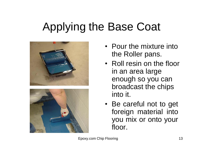## Applying the Base Coat





- Pour the mixture into the Roller pans.
- Roll resin on the floor in an area large enough so you can broadcast the chips into it.
- Be careful not to get foreign material into you mix or onto your floor.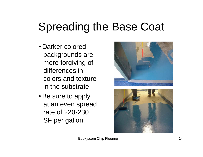## Spreading the Base Coat

- Darker colored backgrounds are more forgiving of differences in colors and texture in the substrate.
- Be sure to apply at an even spread rate of 220-230 SF per gallon.



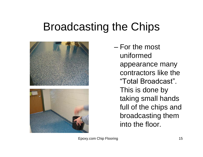## Broadcasting the Chips



– For the most uniformed appearance many contractors like the "Total Broadcast". This is done by taking small hands full of the chips and broadcasting them into the floor.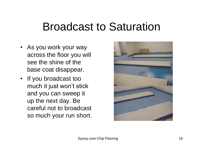#### Broadcast to Saturation

- As you work your way across the floor you will see the shine of the base coat disappear.
- If you broadcast too much it just won't stick and you can sweep it up the next day. Be careful not to broadcast so much your run short.

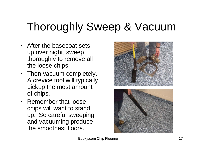# Thoroughly Sweep & Vacuum

- After the basecoat sets up over night, sweep thoroughly to remove all the loose chips.
- Then vacuum completely. A crevice tool will typically pickup the most amount of chips.
- Remember that loose chips will want to stand up. So careful sweeping and vacuuming produce the smoothest floors.



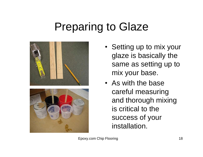## Preparing to Glaze



- Setting up to mix your glaze is basically the same as setting up to mix your base.
- As with the base careful measuring and thorough mixing is critical to the success of your installation.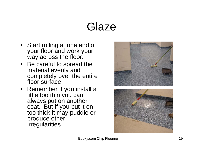## Glaze

- Start rolling at one end of your floor and work your way across the floor.
- Be careful to spread the material evenly and completely over the entire floor surface.
- Remember if you install a little too thin you can always put on another coat. But if you put it on too thick it may puddle or produce other irregularities.



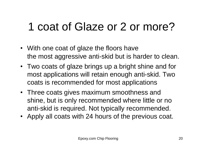# 1 coat of Glaze or 2 or more?

- With one coat of glaze the floors have the most aggressive anti-skid but is harder to clean.
- Two coats of glaze brings up a bright shine and for most applications will retain enough anti-skid. Two coats is recommended for most applications
- Three coats gives maximum smoothness and shine, but is only recommended where little or no anti-skid is required. Not typically recommended.
- Apply all coats with 24 hours of the previous coat.